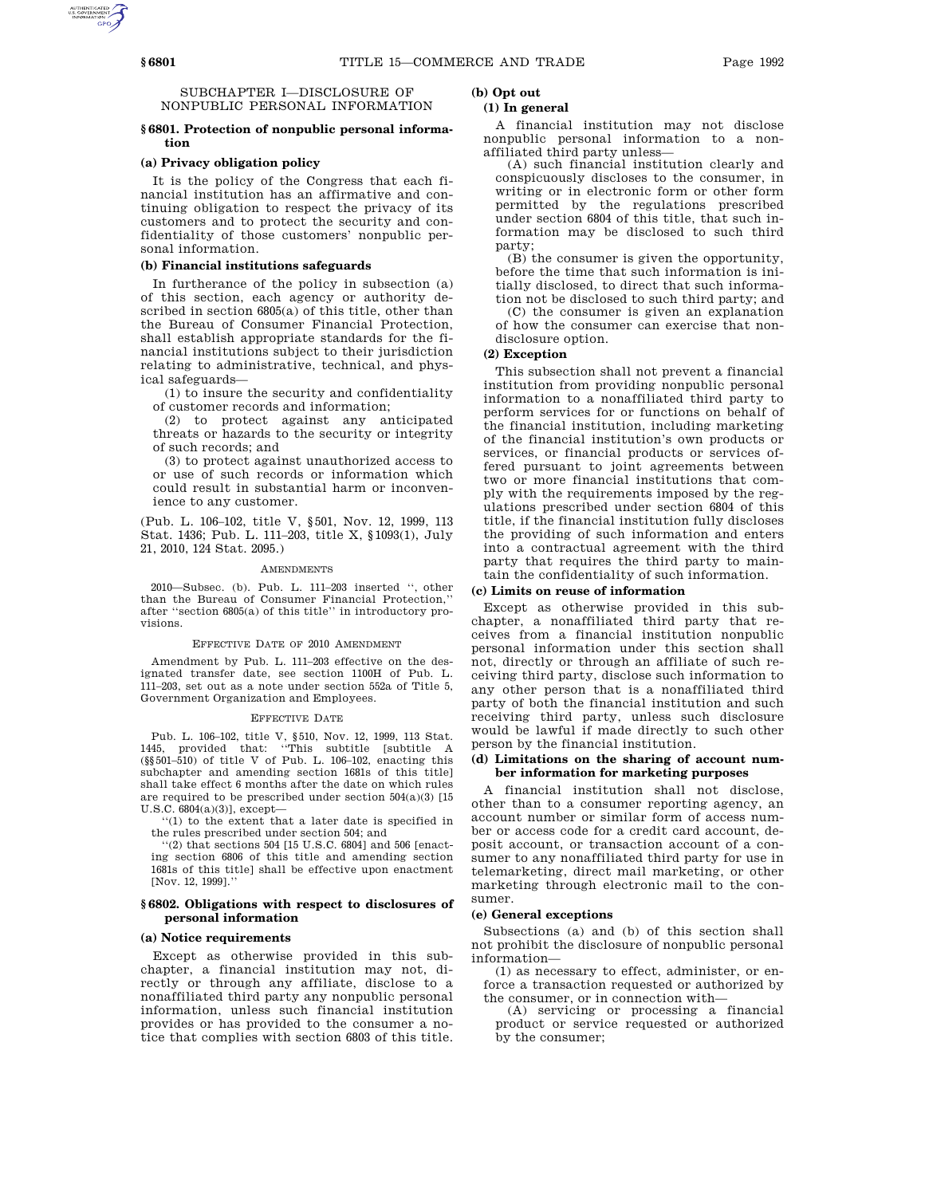SUBCHAPTER I—DISCLOSURE OF NONPUBLIC PERSONAL INFORMATION

### **§ 6801. Protection of nonpublic personal information**

#### **(a) Privacy obligation policy**

It is the policy of the Congress that each financial institution has an affirmative and continuing obligation to respect the privacy of its customers and to protect the security and confidentiality of those customers' nonpublic personal information.

### **(b) Financial institutions safeguards**

In furtherance of the policy in subsection (a) of this section, each agency or authority described in section 6805(a) of this title, other than the Bureau of Consumer Financial Protection, shall establish appropriate standards for the financial institutions subject to their jurisdiction relating to administrative, technical, and physical safeguards—

(1) to insure the security and confidentiality of customer records and information;

(2) to protect against any anticipated threats or hazards to the security or integrity of such records; and

(3) to protect against unauthorized access to or use of such records or information which could result in substantial harm or inconvenience to any customer.

(Pub. L. 106–102, title V, §501, Nov. 12, 1999, 113 Stat. 1436; Pub. L. 111–203, title X, §1093(1), July 21, 2010, 124 Stat. 2095.)

#### AMENDMENTS

2010—Subsec. (b). Pub. L. 111–203 inserted '', other than the Bureau of Consumer Financial Protection,'' after ''section 6805(a) of this title'' in introductory provisions.

#### EFFECTIVE DATE OF 2010 AMENDMENT

Amendment by Pub. L. 111–203 effective on the designated transfer date, see section 1100H of Pub. L. 111–203, set out as a note under section 552a of Title 5, Government Organization and Employees.

#### EFFECTIVE DATE

Pub. L. 106–102, title V, §510, Nov. 12, 1999, 113 Stat. 1445, provided that: ''This subtitle [subtitle A (§§501–510) of title V of Pub. L. 106–102, enacting this subchapter and amending section 1681s of this title] shall take effect 6 months after the date on which rules are required to be prescribed under section  $504(a)(3)$  [15 U.S.C. 6804(a)(3)], except—

''(1) to the extent that a later date is specified in the rules prescribed under section 504; and

''(2) that sections 504 [15 U.S.C. 6804] and 506 [enacting section 6806 of this title and amending section 1681s of this title] shall be effective upon enactment [Nov. 12, 1999].''

### **§ 6802. Obligations with respect to disclosures of personal information**

### **(a) Notice requirements**

Except as otherwise provided in this subchapter, a financial institution may not, directly or through any affiliate, disclose to a nonaffiliated third party any nonpublic personal information, unless such financial institution provides or has provided to the consumer a notice that complies with section 6803 of this title.

**(1) In general**

**(b) Opt out**

# A financial institution may not disclose

nonpublic personal information to a nonaffiliated third party unless—

(A) such financial institution clearly and conspicuously discloses to the consumer, in writing or in electronic form or other form permitted by the regulations prescribed under section 6804 of this title, that such information may be disclosed to such third party;

(B) the consumer is given the opportunity, before the time that such information is initially disclosed, to direct that such information not be disclosed to such third party; and

(C) the consumer is given an explanation of how the consumer can exercise that nondisclosure option.

### **(2) Exception**

This subsection shall not prevent a financial institution from providing nonpublic personal information to a nonaffiliated third party to perform services for or functions on behalf of the financial institution, including marketing of the financial institution's own products or services, or financial products or services offered pursuant to joint agreements between two or more financial institutions that comply with the requirements imposed by the regulations prescribed under section 6804 of this title, if the financial institution fully discloses the providing of such information and enters into a contractual agreement with the third party that requires the third party to maintain the confidentiality of such information.

## **(c) Limits on reuse of information**

Except as otherwise provided in this subchapter, a nonaffiliated third party that receives from a financial institution nonpublic personal information under this section shall not, directly or through an affiliate of such receiving third party, disclose such information to any other person that is a nonaffiliated third party of both the financial institution and such receiving third party, unless such disclosure would be lawful if made directly to such other person by the financial institution.

# **(d) Limitations on the sharing of account number information for marketing purposes**

A financial institution shall not disclose, other than to a consumer reporting agency, an account number or similar form of access number or access code for a credit card account, deposit account, or transaction account of a consumer to any nonaffiliated third party for use in telemarketing, direct mail marketing, or other marketing through electronic mail to the consumer.

#### **(e) General exceptions**

Subsections (a) and (b) of this section shall not prohibit the disclosure of nonpublic personal information—

(1) as necessary to effect, administer, or enforce a transaction requested or authorized by the consumer, or in connection with—

(A) servicing or processing a financial product or service requested or authorized by the consumer;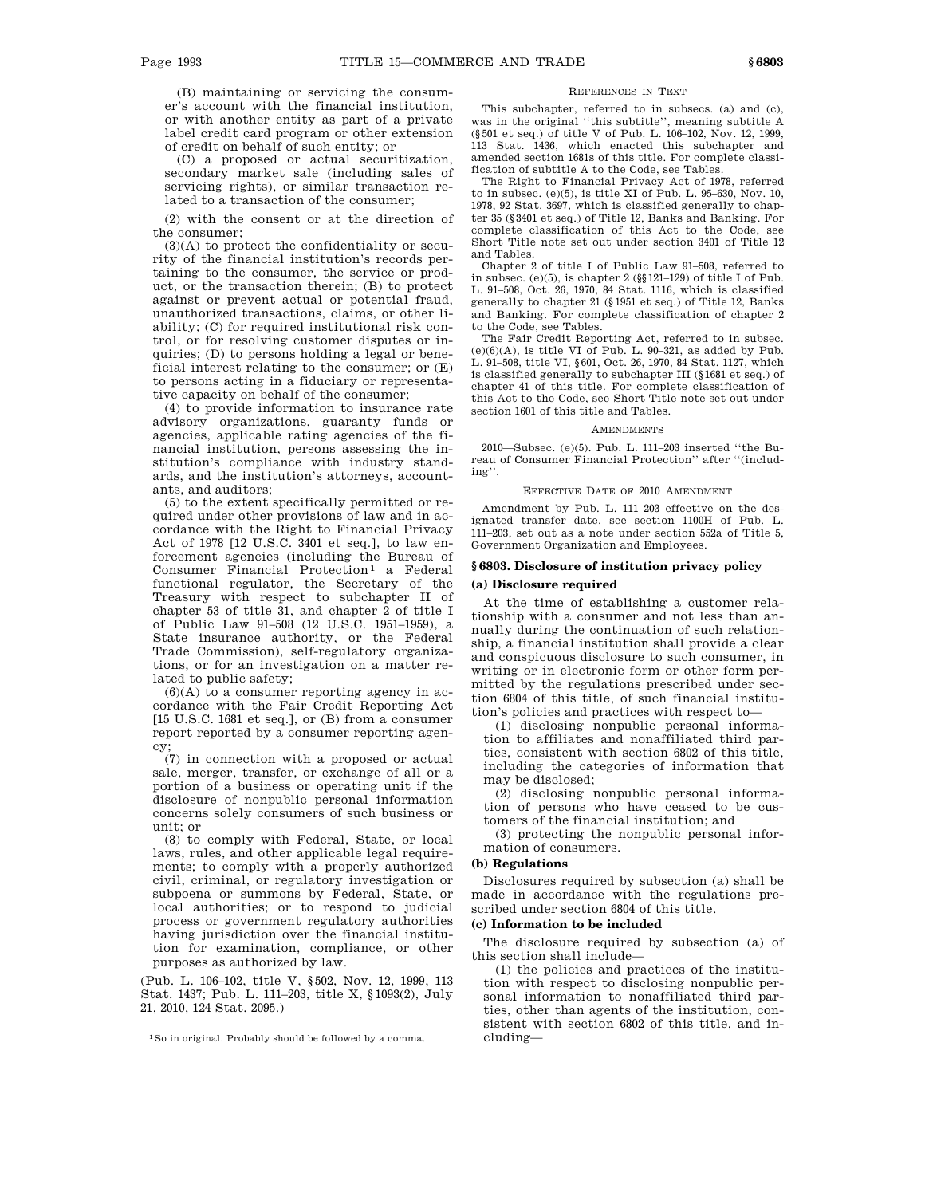(B) maintaining or servicing the consumer's account with the financial institution, or with another entity as part of a private label credit card program or other extension of credit on behalf of such entity; or

(C) a proposed or actual securitization, secondary market sale (including sales of servicing rights), or similar transaction related to a transaction of the consumer;

(2) with the consent or at the direction of the consumer;

(3)(A) to protect the confidentiality or security of the financial institution's records pertaining to the consumer, the service or product, or the transaction therein; (B) to protect against or prevent actual or potential fraud, unauthorized transactions, claims, or other liability; (C) for required institutional risk control, or for resolving customer disputes or inquiries; (D) to persons holding a legal or beneficial interest relating to the consumer; or (E) to persons acting in a fiduciary or representative capacity on behalf of the consumer;

(4) to provide information to insurance rate advisory organizations, guaranty funds or agencies, applicable rating agencies of the financial institution, persons assessing the institution's compliance with industry standards, and the institution's attorneys, accountants, and auditors;

(5) to the extent specifically permitted or required under other provisions of law and in accordance with the Right to Financial Privacy Act of 1978 [12 U.S.C. 3401 et seq.], to law enforcement agencies (including the Bureau of Consumer Financial Protection<sup>1</sup> a Federal functional regulator, the Secretary of the Treasury with respect to subchapter II of chapter 53 of title 31, and chapter 2 of title I of Public Law 91–508 (12 U.S.C. 1951–1959), a State insurance authority, or the Federal Trade Commission), self-regulatory organizations, or for an investigation on a matter related to public safety;

 $(6)(A)$  to a consumer reporting agency in accordance with the Fair Credit Reporting Act [15 U.S.C. 1681 et seq.], or (B) from a consumer report reported by a consumer reporting agency;

(7) in connection with a proposed or actual sale, merger, transfer, or exchange of all or a portion of a business or operating unit if the disclosure of nonpublic personal information concerns solely consumers of such business or unit; or

(8) to comply with Federal, State, or local laws, rules, and other applicable legal requirements; to comply with a properly authorized civil, criminal, or regulatory investigation or subpoena or summons by Federal, State, or local authorities; or to respond to judicial process or government regulatory authorities having jurisdiction over the financial institution for examination, compliance, or other purposes as authorized by law.

(Pub. L. 106–102, title V, §502, Nov. 12, 1999, 113 Stat. 1437; Pub. L. 111–203, title X, §1093(2), July 21, 2010, 124 Stat. 2095.)

### REFERENCES IN TEXT

This subchapter, referred to in subsecs. (a) and (c), was in the original ''this subtitle'', meaning subtitle A (§501 et seq.) of title V of Pub. L. 106–102, Nov. 12, 1999, 113 Stat. 1436, which enacted this subchapter and amended section 1681s of this title. For complete classification of subtitle A to the Code, see Tables.

The Right to Financial Privacy Act of 1978, referred to in subsec.  $(e)(5)$ , is title XI of Pub. L. 95–630, Nov. 10, 1978, 92 Stat. 3697, which is classified generally to chapter 35 (§3401 et seq.) of Title 12, Banks and Banking. For complete classification of this Act to the Code, see Short Title note set out under section 3401 of Title 12 and Tables.

Chapter 2 of title I of Public Law 91–508, referred to in subsec. (e)(5), is chapter 2 (§§121–129) of title I of Pub. L. 91–508, Oct. 26, 1970, 84 Stat. 1116, which is classified generally to chapter 21 (§1951 et seq.) of Title 12, Banks and Banking. For complete classification of chapter 2 to the Code, see Tables.

The Fair Credit Reporting Act, referred to in subsec.  $(e)(6)(A)$ , is title VI of Pub. L. 90-321, as added by Pub. L. 91–508, title VI, §601, Oct. 26, 1970, 84 Stat. 1127, which is classified generally to subchapter III (§1681 et seq.) of chapter 41 of this title. For complete classification of this Act to the Code, see Short Title note set out under section 1601 of this title and Tables.

#### **AMENDMENTS**

2010—Subsec. (e)(5). Pub. L. 111–203 inserted ''the Bureau of Consumer Financial Protection'' after ''(including''.

### EFFECTIVE DATE OF 2010 AMENDMENT

Amendment by Pub. L. 111–203 effective on the designated transfer date, see section 1100H of Pub. L. 111–203, set out as a note under section 552a of Title 5, Government Organization and Employees.

# **§ 6803. Disclosure of institution privacy policy (a) Disclosure required**

At the time of establishing a customer relationship with a consumer and not less than annually during the continuation of such relationship, a financial institution shall provide a clear and conspicuous disclosure to such consumer, in writing or in electronic form or other form permitted by the regulations prescribed under section 6804 of this title, of such financial institution's policies and practices with respect to—

(1) disclosing nonpublic personal information to affiliates and nonaffiliated third parties, consistent with section 6802 of this title, including the categories of information that may be disclosed;

(2) disclosing nonpublic personal information of persons who have ceased to be customers of the financial institution; and

(3) protecting the nonpublic personal information of consumers.

#### **(b) Regulations**

Disclosures required by subsection (a) shall be made in accordance with the regulations prescribed under section 6804 of this title.

### **(c) Information to be included**

The disclosure required by subsection (a) of this section shall include—

(1) the policies and practices of the institution with respect to disclosing nonpublic personal information to nonaffiliated third parties, other than agents of the institution, consistent with section 6802 of this title, and including—

<sup>1</sup>So in original. Probably should be followed by a comma.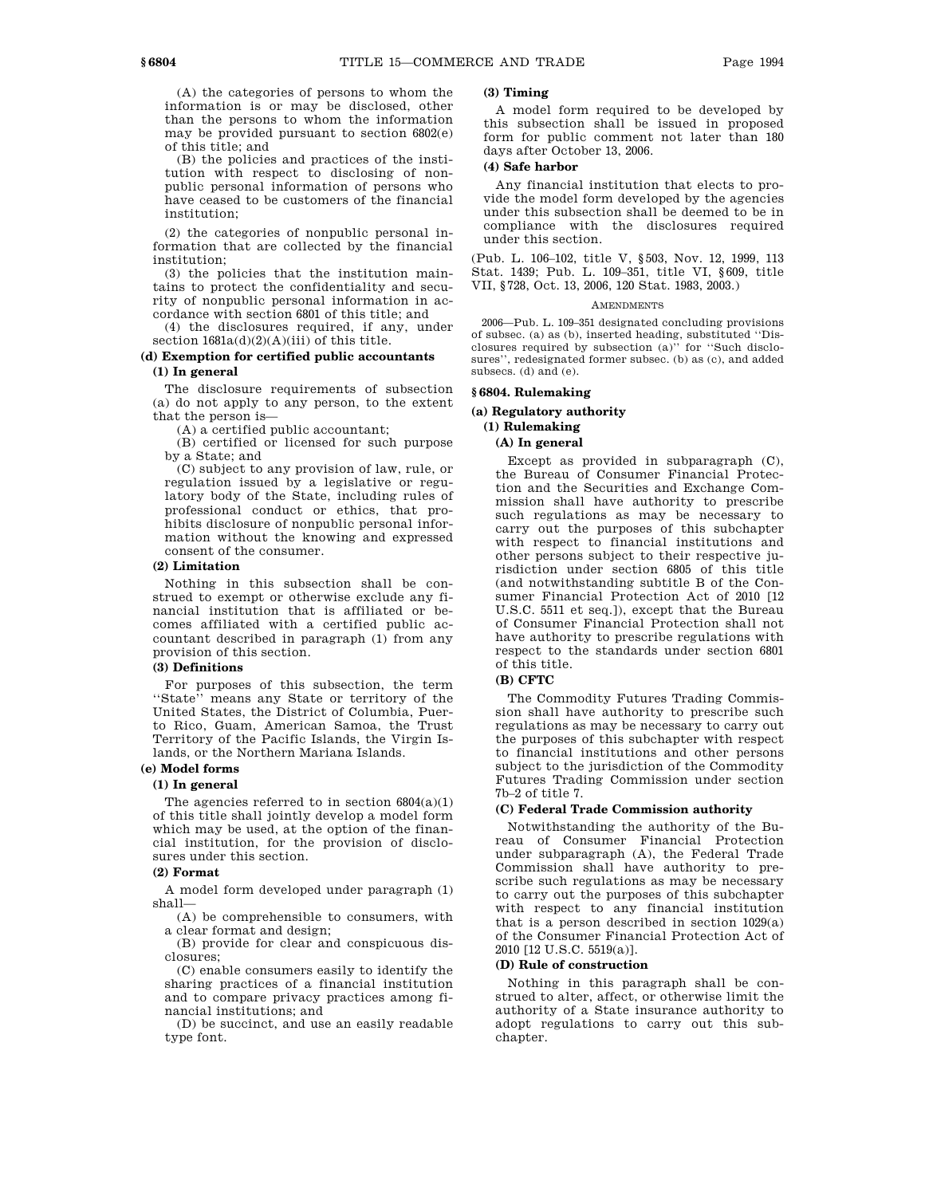(A) the categories of persons to whom the information is or may be disclosed, other than the persons to whom the information may be provided pursuant to section 6802(e) of this title; and

(B) the policies and practices of the institution with respect to disclosing of nonpublic personal information of persons who have ceased to be customers of the financial institution;

(2) the categories of nonpublic personal information that are collected by the financial institution;

(3) the policies that the institution maintains to protect the confidentiality and security of nonpublic personal information in accordance with section 6801 of this title; and

(4) the disclosures required, if any, under section  $1681a(d)(2)(A)(iii)$  of this title.

# **(d) Exemption for certified public accountants**

## **(1) In general**

The disclosure requirements of subsection (a) do not apply to any person, to the extent that the person is—

(A) a certified public accountant;

(B) certified or licensed for such purpose by a State; and

(C) subject to any provision of law, rule, or regulation issued by a legislative or regulatory body of the State, including rules of professional conduct or ethics, that prohibits disclosure of nonpublic personal information without the knowing and expressed consent of the consumer.

## **(2) Limitation**

Nothing in this subsection shall be construed to exempt or otherwise exclude any financial institution that is affiliated or becomes affiliated with a certified public accountant described in paragraph (1) from any provision of this section.

#### **(3) Definitions**

For purposes of this subsection, the term "State" means any State or territory of the United States, the District of Columbia, Puerto Rico, Guam, American Samoa, the Trust Territory of the Pacific Islands, the Virgin Islands, or the Northern Mariana Islands.

# **(e) Model forms**

## **(1) In general**

The agencies referred to in section  $6804(a)(1)$ of this title shall jointly develop a model form which may be used, at the option of the financial institution, for the provision of disclosures under this section.

## **(2) Format**

A model form developed under paragraph (1) shall—

- (A) be comprehensible to consumers, with a clear format and design;
- (B) provide for clear and conspicuous disclosures;

(C) enable consumers easily to identify the sharing practices of a financial institution and to compare privacy practices among financial institutions; and

(D) be succinct, and use an easily readable type font.

### **(3) Timing**

A model form required to be developed by this subsection shall be issued in proposed form for public comment not later than 180 days after October 13, 2006.

# **(4) Safe harbor**

Any financial institution that elects to provide the model form developed by the agencies under this subsection shall be deemed to be in compliance with the disclosures required under this section.

(Pub. L. 106–102, title V, §503, Nov. 12, 1999, 113 Stat. 1439; Pub. L. 109–351, title VI, §609, title VII, §728, Oct. 13, 2006, 120 Stat. 1983, 2003.)

#### **AMENDMENTS**

2006—Pub. L. 109–351 designated concluding provisions of subsec. (a) as (b), inserted heading, substituted ''Disclosures required by subsection (a)'' for ''Such disclosures'', redesignated former subsec. (b) as (c), and added subsecs. (d) and (e).

### **§ 6804. Rulemaking**

### **(a) Regulatory authority**

# **(1) Rulemaking**

### **(A) In general**

Except as provided in subparagraph (C), the Bureau of Consumer Financial Protection and the Securities and Exchange Commission shall have authority to prescribe such regulations as may be necessary to carry out the purposes of this subchapter with respect to financial institutions and other persons subject to their respective jurisdiction under section 6805 of this title (and notwithstanding subtitle B of the Consumer Financial Protection Act of 2010 [12 U.S.C. 5511 et seq.]), except that the Bureau of Consumer Financial Protection shall not have authority to prescribe regulations with respect to the standards under section 6801 of this title.

### **(B) CFTC**

The Commodity Futures Trading Commission shall have authority to prescribe such regulations as may be necessary to carry out the purposes of this subchapter with respect to financial institutions and other persons subject to the jurisdiction of the Commodity Futures Trading Commission under section 7b–2 of title 7.

### **(C) Federal Trade Commission authority**

Notwithstanding the authority of the Bureau of Consumer Financial Protection under subparagraph (A), the Federal Trade Commission shall have authority to prescribe such regulations as may be necessary to carry out the purposes of this subchapter with respect to any financial institution that is a person described in section 1029(a) of the Consumer Financial Protection Act of 2010 [12 U.S.C. 5519(a)].

### **(D) Rule of construction**

Nothing in this paragraph shall be construed to alter, affect, or otherwise limit the authority of a State insurance authority to adopt regulations to carry out this subchapter.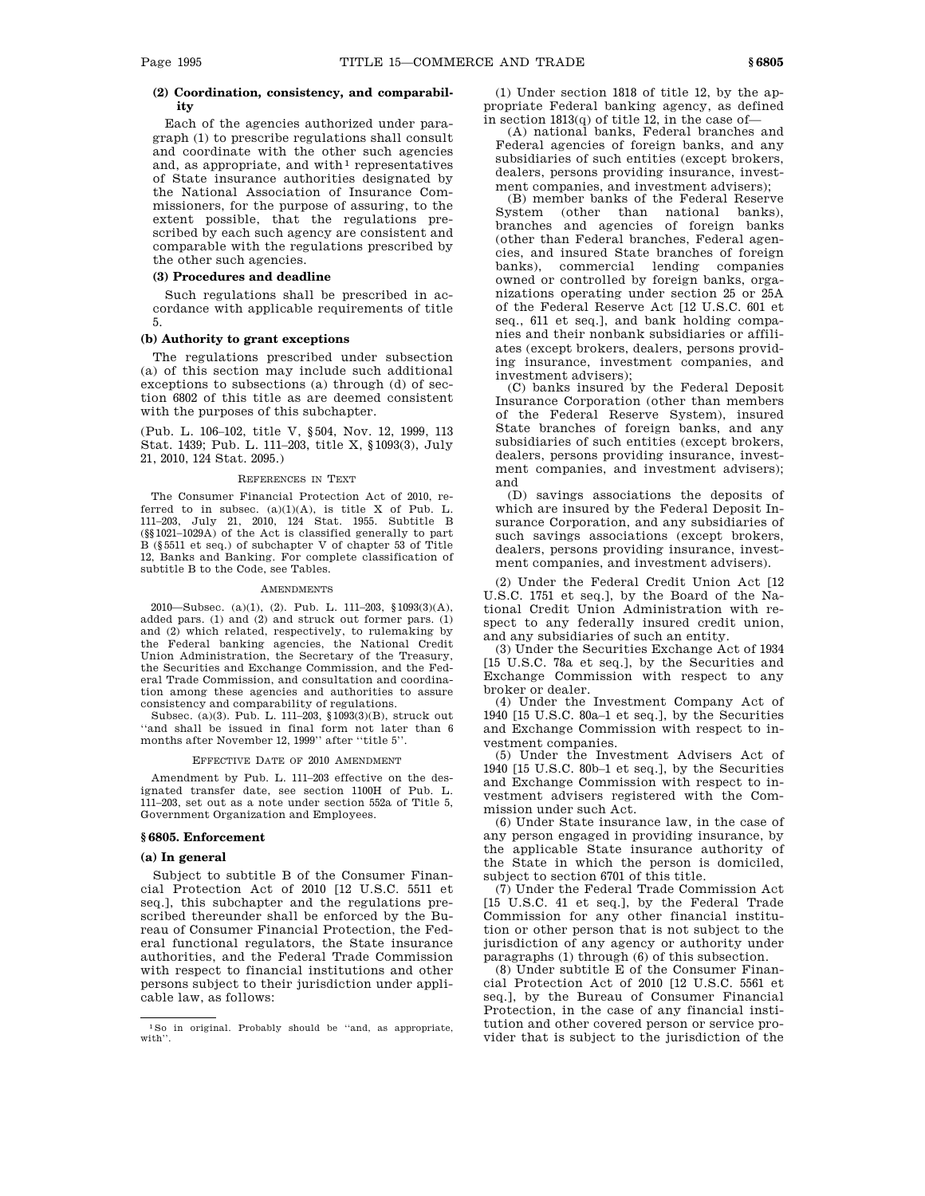### **(2) Coordination, consistency, and comparability**

Each of the agencies authorized under paragraph (1) to prescribe regulations shall consult and coordinate with the other such agencies and, as appropriate, and with<sup>1</sup> representatives of State insurance authorities designated by the National Association of Insurance Commissioners, for the purpose of assuring, to the extent possible, that the regulations prescribed by each such agency are consistent and comparable with the regulations prescribed by the other such agencies.

### **(3) Procedures and deadline**

Such regulations shall be prescribed in accordance with applicable requirements of title 5.

### **(b) Authority to grant exceptions**

The regulations prescribed under subsection (a) of this section may include such additional exceptions to subsections (a) through (d) of section 6802 of this title as are deemed consistent with the purposes of this subchapter.

(Pub. L. 106–102, title V, §504, Nov. 12, 1999, 113 Stat. 1439; Pub. L. 111–203, title X, §1093(3), July 21, 2010, 124 Stat. 2095.)

#### REFERENCES IN TEXT

The Consumer Financial Protection Act of 2010, referred to in subsec.  $(a)(1)(A)$ , is title X of Pub. L. 111–203, July 21, 2010, 124 Stat. 1955. Subtitle B (§§1021–1029A) of the Act is classified generally to part B (§5511 et seq.) of subchapter V of chapter 53 of Title 12, Banks and Banking. For complete classification of subtitle B to the Code, see Tables.

#### **AMENDMENTS**

2010—Subsec. (a)(1), (2). Pub. L. 111–203, §1093(3)(A), added pars. (1) and (2) and struck out former pars. (1) and (2) which related, respectively, to rulemaking by the Federal banking agencies, the National Credit Union Administration, the Secretary of the Treasury, the Securities and Exchange Commission, and the Federal Trade Commission, and consultation and coordination among these agencies and authorities to assure consistency and comparability of regulations.

Subsec. (a)(3). Pub. L. 111–203, §1093(3)(B), struck out ''and shall be issued in final form not later than 6 months after November 12, 1999'' after ''title 5''.

#### EFFECTIVE DATE OF 2010 AMENDMENT

Amendment by Pub. L. 111–203 effective on the designated transfer date, see section 1100H of Pub. L. 111–203, set out as a note under section 552a of Title 5, Government Organization and Employees.

### **§ 6805. Enforcement**

### **(a) In general**

Subject to subtitle B of the Consumer Financial Protection Act of 2010 [12 U.S.C. 5511 et seq.], this subchapter and the regulations prescribed thereunder shall be enforced by the Bureau of Consumer Financial Protection, the Federal functional regulators, the State insurance authorities, and the Federal Trade Commission with respect to financial institutions and other persons subject to their jurisdiction under applicable law, as follows:

(1) Under section 1818 of title 12, by the appropriate Federal banking agency, as defined in section  $1813(q)$  of title 12, in the case of-

(A) national banks, Federal branches and Federal agencies of foreign banks, and any subsidiaries of such entities (except brokers, dealers, persons providing insurance, investment companies, and investment advisers);

(B) member banks of the Federal Reserve System (other than national banks), branches and agencies of foreign banks (other than Federal branches, Federal agencies, and insured State branches of foreign banks), commercial lending companies owned or controlled by foreign banks, organizations operating under section 25 or 25A of the Federal Reserve Act [12 U.S.C. 601 et seq., 611 et seq.], and bank holding companies and their nonbank subsidiaries or affiliates (except brokers, dealers, persons providing insurance, investment companies, and investment advisers);

(C) banks insured by the Federal Deposit Insurance Corporation (other than members of the Federal Reserve System), insured State branches of foreign banks, and any subsidiaries of such entities (except brokers, dealers, persons providing insurance, investment companies, and investment advisers); and

(D) savings associations the deposits of which are insured by the Federal Deposit Insurance Corporation, and any subsidiaries of such savings associations (except brokers, dealers, persons providing insurance, investment companies, and investment advisers).

(2) Under the Federal Credit Union Act [12 U.S.C. 1751 et seq.], by the Board of the National Credit Union Administration with respect to any federally insured credit union, and any subsidiaries of such an entity.

(3) Under the Securities Exchange Act of 1934 [15 U.S.C. 78a et seq.], by the Securities and Exchange Commission with respect to any broker or dealer.

(4) Under the Investment Company Act of 1940 [15 U.S.C. 80a–1 et seq.], by the Securities and Exchange Commission with respect to investment companies.

(5) Under the Investment Advisers Act of 1940 [15 U.S.C. 80b–1 et seq.], by the Securities and Exchange Commission with respect to investment advisers registered with the Commission under such Act.

(6) Under State insurance law, in the case of any person engaged in providing insurance, by the applicable State insurance authority of the State in which the person is domiciled, subject to section 6701 of this title.

(7) Under the Federal Trade Commission Act [15 U.S.C. 41 et seq.], by the Federal Trade Commission for any other financial institution or other person that is not subject to the jurisdiction of any agency or authority under paragraphs (1) through (6) of this subsection.

(8) Under subtitle E of the Consumer Financial Protection Act of 2010 [12 U.S.C. 5561 et seq.], by the Bureau of Consumer Financial Protection, in the case of any financial institution and other covered person or service provider that is subject to the jurisdiction of the

<sup>1</sup>So in original. Probably should be ''and, as appropriate, with''.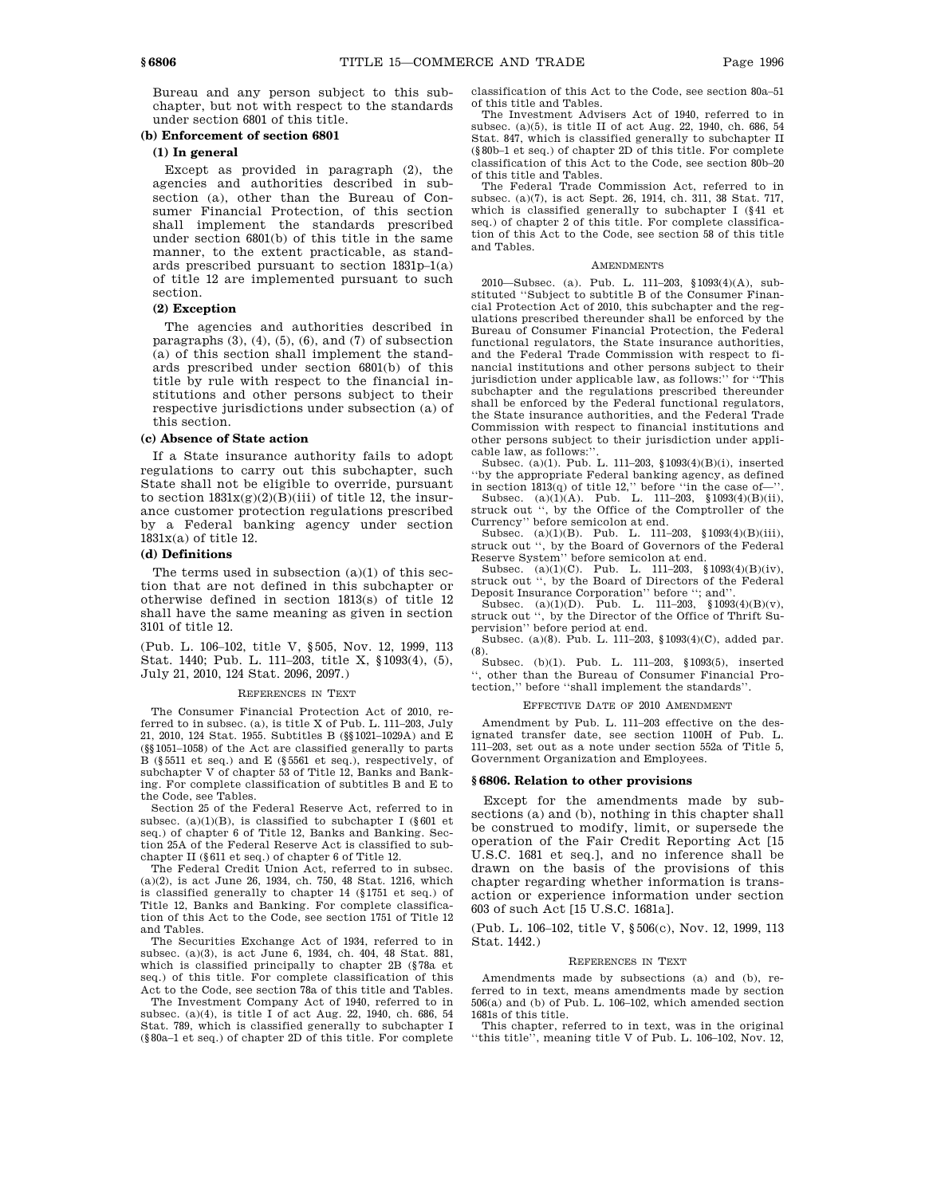Bureau and any person subject to this subchapter, but not with respect to the standards under section 6801 of this title.

### **(b) Enforcement of section 6801**

#### **(1) In general**

Except as provided in paragraph (2), the agencies and authorities described in subsection (a), other than the Bureau of Consumer Financial Protection, of this section shall implement the standards prescribed under section 6801(b) of this title in the same manner, to the extent practicable, as standards prescribed pursuant to section 1831p–1(a) of title 12 are implemented pursuant to such section.

#### **(2) Exception**

The agencies and authorities described in paragraphs  $(3)$ ,  $(4)$ ,  $(5)$ ,  $(6)$ , and  $(7)$  of subsection (a) of this section shall implement the standards prescribed under section 6801(b) of this title by rule with respect to the financial institutions and other persons subject to their respective jurisdictions under subsection (a) of this section.

### **(c) Absence of State action**

If a State insurance authority fails to adopt regulations to carry out this subchapter, such State shall not be eligible to override, pursuant to section  $1831x(g)(2)(B)(iii)$  of title 12, the insurance customer protection regulations prescribed by a Federal banking agency under section 1831x(a) of title 12.

### **(d) Definitions**

The terms used in subsection  $(a)(1)$  of this section that are not defined in this subchapter or otherwise defined in section 1813(s) of title 12 shall have the same meaning as given in section 3101 of title 12.

(Pub. L. 106–102, title V, §505, Nov. 12, 1999, 113 Stat. 1440; Pub. L. 111–203, title X, §1093(4), (5), July 21, 2010, 124 Stat. 2096, 2097.)

### REFERENCES IN TEXT

The Consumer Financial Protection Act of 2010, referred to in subsec. (a), is title X of Pub. L. 111–203, July 21, 2010, 124 Stat. 1955. Subtitles B (§§1021–1029A) and E (§§1051–1058) of the Act are classified generally to parts B (§5511 et seq.) and E (§5561 et seq.), respectively, of subchapter V of chapter 53 of Title 12, Banks and Banking. For complete classification of subtitles B and E to the Code, see Tables.

Section 25 of the Federal Reserve Act, referred to in subsec. (a)(1)(B), is classified to subchapter I (§601 et seq.) of chapter 6 of Title 12, Banks and Banking. Section 25A of the Federal Reserve Act is classified to subchapter II (§611 et seq.) of chapter 6 of Title 12.

The Federal Credit Union Act, referred to in subsec. (a)(2), is act June 26, 1934, ch. 750, 48 Stat. 1216, which is classified generally to chapter 14 (§1751 et seq.) of Title 12, Banks and Banking. For complete classification of this Act to the Code, see section 1751 of Title 12 and Tables.

The Securities Exchange Act of 1934, referred to in subsec. (a)(3), is act June 6, 1934, ch. 404, 48 Stat. 881, which is classified principally to chapter 2B (§78a et seq.) of this title. For complete classification of this Act to the Code, see section 78a of this title and Tables.

The Investment Company Act of 1940, referred to in subsec. (a)(4), is title I of act Aug. 22, 1940, ch. 686, 54 Stat. 789, which is classified generally to subchapter I (§80a–1 et seq.) of chapter 2D of this title. For complete classification of this Act to the Code, see section 80a–51 of this title and Tables.

The Investment Advisers Act of 1940, referred to in subsec. (a)(5), is title II of act Aug. 22, 1940, ch. 686, 54 Stat. 847, which is classified generally to subchapter II (§80b–1 et seq.) of chapter 2D of this title. For complete classification of this Act to the Code, see section 80b–20 of this title and Tables.

The Federal Trade Commission Act, referred to in subsec. (a)(7), is act Sept. 26, 1914, ch. 311, 38 Stat. 717, which is classified generally to subchapter I (§41 et seq.) of chapter 2 of this title. For complete classification of this Act to the Code, see section 58 of this title and Tables.

#### **AMENDMENTS**

2010—Subsec. (a). Pub. L. 111–203, §1093(4)(A), substituted ''Subject to subtitle B of the Consumer Financial Protection Act of 2010, this subchapter and the regulations prescribed thereunder shall be enforced by the Bureau of Consumer Financial Protection, the Federal functional regulators, the State insurance authorities, and the Federal Trade Commission with respect to financial institutions and other persons subject to their jurisdiction under applicable law, as follows:'' for ''This subchapter and the regulations prescribed thereunder shall be enforced by the Federal functional regulators, the State insurance authorities, and the Federal Trade Commission with respect to financial institutions and other persons subject to their jurisdiction under applicable law, as follows:''.

Subsec. (a)(1). Pub. L. 111–203, §1093(4)(B)(i), inserted ''by the appropriate Federal banking agency, as defined

in section 1813(q) of title 12," before "in the case of—".<br>Subsec. (a)(1)(A). Pub. L. 111–203,  $$1093(4)(B)(ii)$ , struck out '', by the Office of the Comptroller of the

Currency'' before semicolon at end. Subsec. (a)(1)(B). Pub. L. 111–203, §1093(4)(B)(iii), struck out '', by the Board of Governors of the Federal Reserve System'' before semicolon at end.

Subsec. (a)(1)(C). Pub. L. 111–203,  $$1093(4)(B)(iv)$ , struck out '', by the Board of Directors of the Federal

Deposit Insurance Corporation'' before ''; and''. Subsec. (a)(1)(D). Pub. L. 111–203, §1093(4)(B)(v), struck out '', by the Director of the Office of Thrift Supervision'' before period at end.

Subsec. (a)(8). Pub. L. 111-203, §1093(4)(C), added par. (8).

Subsec. (b)(1). Pub. L. 111–203, §1093(5), inserted '', other than the Bureau of Consumer Financial Protection,'' before ''shall implement the standards''.

#### EFFECTIVE DATE OF 2010 AMENDMENT

Amendment by Pub. L. 111–203 effective on the designated transfer date, see section 1100H of Pub. L. 111–203, set out as a note under section 552a of Title 5, Government Organization and Employees.

### **§ 6806. Relation to other provisions**

Except for the amendments made by subsections (a) and (b), nothing in this chapter shall be construed to modify, limit, or supersede the operation of the Fair Credit Reporting Act [15 U.S.C. 1681 et seq.], and no inference shall be drawn on the basis of the provisions of this chapter regarding whether information is transaction or experience information under section 603 of such Act [15 U.S.C. 1681a].

(Pub. L. 106–102, title V, §506(c), Nov. 12, 1999, 113 Stat. 1442.)

### REFERENCES IN TEXT

Amendments made by subsections (a) and (b), referred to in text, means amendments made by section 506(a) and (b) of Pub. L. 106–102, which amended section 1681s of this title.

This chapter, referred to in text, was in the original ''this title'', meaning title V of Pub. L. 106–102, Nov. 12,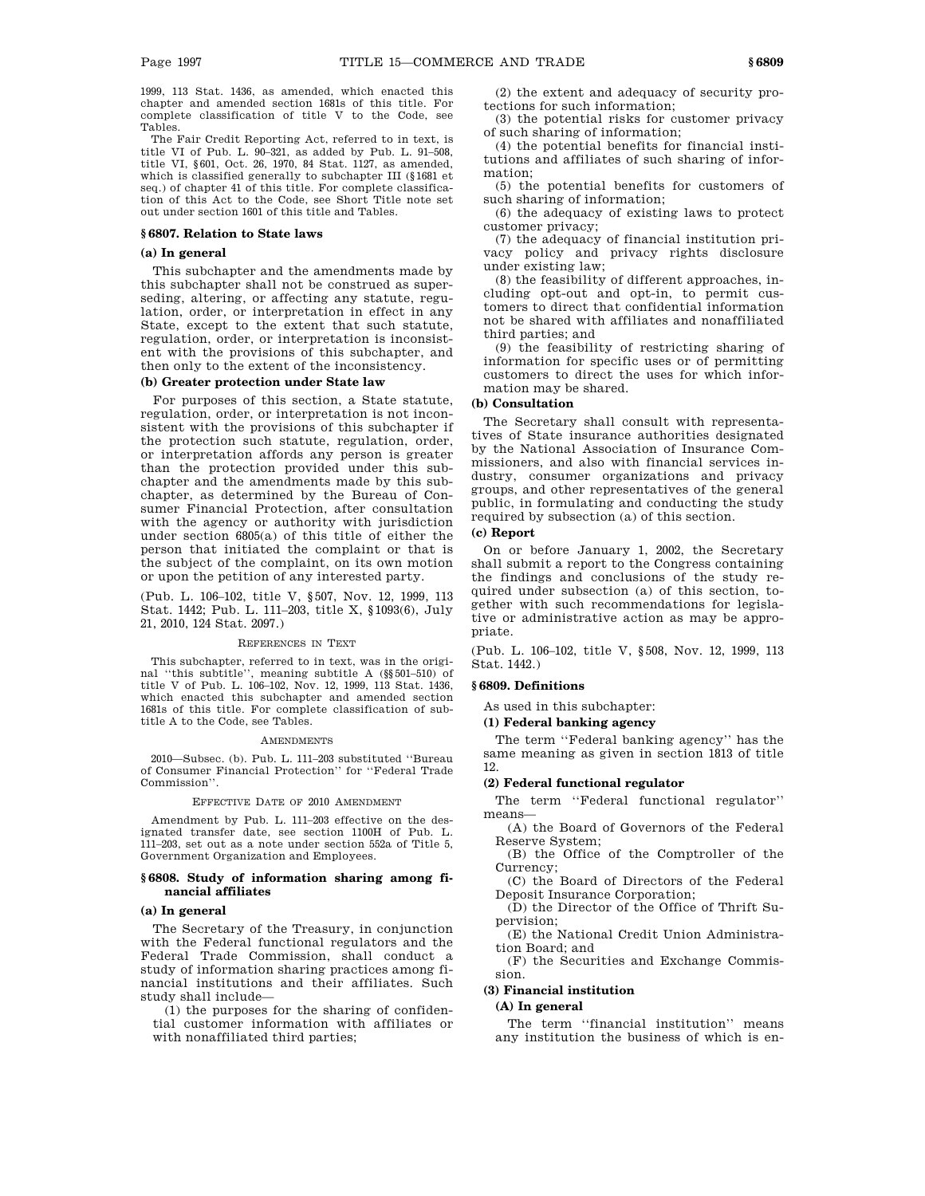1999, 113 Stat. 1436, as amended, which enacted this chapter and amended section 1681s of this title. For complete classification of title V to the Code, see Tables.

The Fair Credit Reporting Act, referred to in text, is title VI of Pub. L. 90–321, as added by Pub. L. 91–508, title VI, §601, Oct. 26, 1970, 84 Stat. 1127, as amended, which is classified generally to subchapter III (§1681 et seq.) of chapter 41 of this title. For complete classification of this Act to the Code, see Short Title note set out under section 1601 of this title and Tables.

#### **§ 6807. Relation to State laws**

#### **(a) In general**

This subchapter and the amendments made by this subchapter shall not be construed as superseding, altering, or affecting any statute, regulation, order, or interpretation in effect in any State, except to the extent that such statute, regulation, order, or interpretation is inconsistent with the provisions of this subchapter, and then only to the extent of the inconsistency.

### **(b) Greater protection under State law**

For purposes of this section, a State statute, regulation, order, or interpretation is not inconsistent with the provisions of this subchapter if the protection such statute, regulation, order, or interpretation affords any person is greater than the protection provided under this subchapter and the amendments made by this subchapter, as determined by the Bureau of Consumer Financial Protection, after consultation with the agency or authority with jurisdiction under section 6805(a) of this title of either the person that initiated the complaint or that is the subject of the complaint, on its own motion or upon the petition of any interested party.

(Pub. L. 106–102, title V, §507, Nov. 12, 1999, 113 Stat. 1442; Pub. L. 111–203, title X, §1093(6), July 21, 2010, 124 Stat. 2097.)

#### REFERENCES IN TEXT

This subchapter, referred to in text, was in the original ''this subtitle'', meaning subtitle A (§§501–510) of title V of Pub. L. 106–102, Nov. 12, 1999, 113 Stat. 1436, which enacted this subchapter and amended section 1681s of this title. For complete classification of subtitle A to the Code, see Tables.

#### AMENDMENTS

2010—Subsec. (b). Pub. L. 111–203 substituted ''Bureau of Consumer Financial Protection'' for ''Federal Trade Commission''.

EFFECTIVE DATE OF 2010 AMENDMENT

Amendment by Pub. L. 111–203 effective on the designated transfer date, see section 1100H of Pub. L. 111–203, set out as a note under section 552a of Title 5, Government Organization and Employees.

#### **§ 6808. Study of information sharing among financial affiliates**

#### **(a) In general**

The Secretary of the Treasury, in conjunction with the Federal functional regulators and the Federal Trade Commission, shall conduct a study of information sharing practices among financial institutions and their affiliates. Such study shall include—

(1) the purposes for the sharing of confidential customer information with affiliates or with nonaffiliated third parties;

(2) the extent and adequacy of security protections for such information;

(3) the potential risks for customer privacy of such sharing of information;

(4) the potential benefits for financial institutions and affiliates of such sharing of information;

(5) the potential benefits for customers of such sharing of information;

(6) the adequacy of existing laws to protect customer privacy;

(7) the adequacy of financial institution privacy policy and privacy rights disclosure under existing law;

(8) the feasibility of different approaches, including opt-out and opt-in, to permit customers to direct that confidential information not be shared with affiliates and nonaffiliated third parties; and

(9) the feasibility of restricting sharing of information for specific uses or of permitting customers to direct the uses for which information may be shared.

### **(b) Consultation**

The Secretary shall consult with representatives of State insurance authorities designated by the National Association of Insurance Commissioners, and also with financial services industry, consumer organizations and privacy groups, and other representatives of the general public, in formulating and conducting the study required by subsection (a) of this section.

### **(c) Report**

On or before January 1, 2002, the Secretary shall submit a report to the Congress containing the findings and conclusions of the study required under subsection (a) of this section, together with such recommendations for legislative or administrative action as may be appropriate.

(Pub. L. 106–102, title V, §508, Nov. 12, 1999, 113 Stat. 1442.)

### **§ 6809. Definitions**

As used in this subchapter:

**(1) Federal banking agency**

The term ''Federal banking agency'' has the same meaning as given in section 1813 of title 12.

### **(2) Federal functional regulator**

The term ''Federal functional regulator'' means—

(A) the Board of Governors of the Federal Reserve System;

(B) the Office of the Comptroller of the Currency;

(C) the Board of Directors of the Federal Deposit Insurance Corporation;

(D) the Director of the Office of Thrift Supervision;

(E) the National Credit Union Administration Board; and

(F) the Securities and Exchange Commission.

#### **(3) Financial institution**

### **(A) In general**

The term "financial institution" means any institution the business of which is en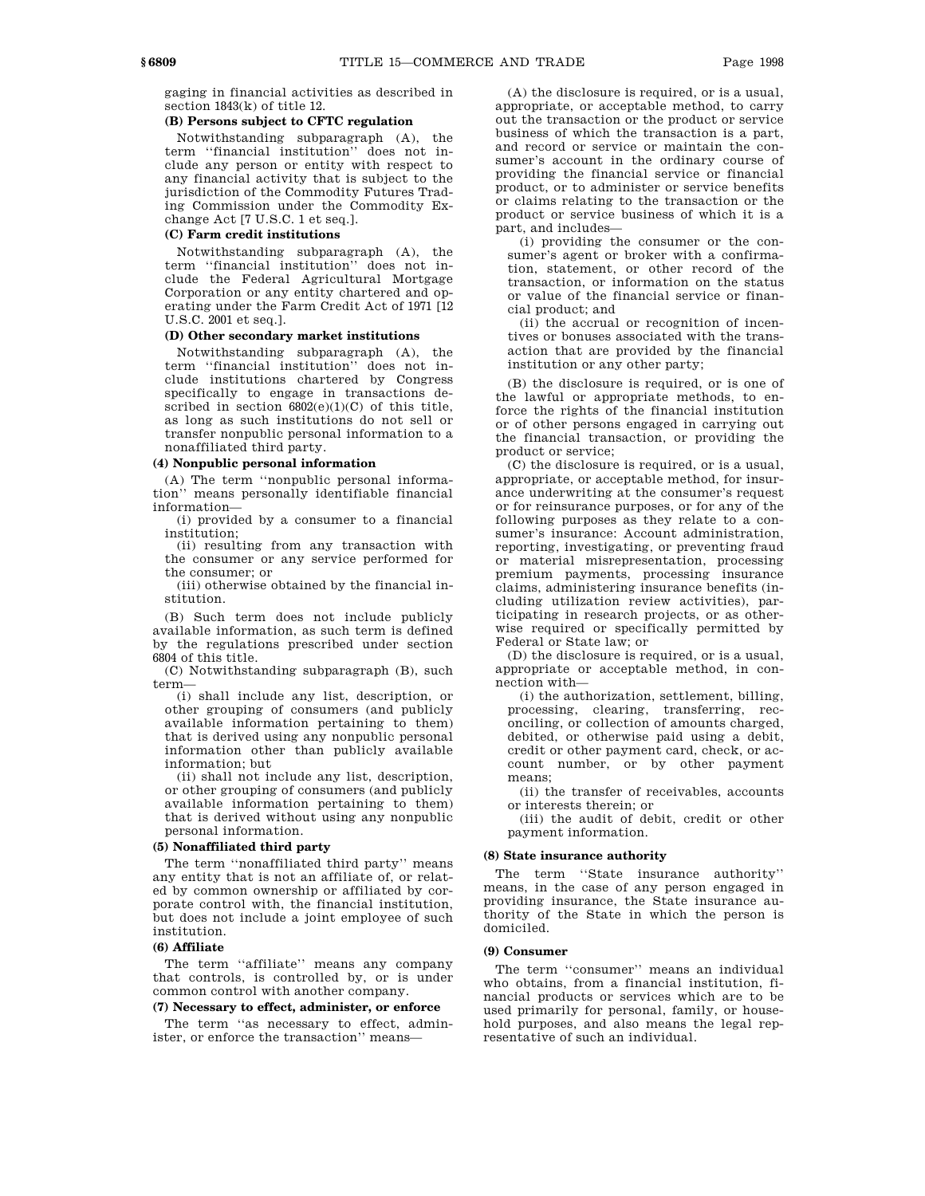gaging in financial activities as described in section 1843(k) of title 12.

### **(B) Persons subject to CFTC regulation**

Notwithstanding subparagraph (A), the term ''financial institution'' does not include any person or entity with respect to any financial activity that is subject to the jurisdiction of the Commodity Futures Trading Commission under the Commodity Exchange Act [7 U.S.C. 1 et seq.].

## **(C) Farm credit institutions**

Notwithstanding subparagraph (A), the term ''financial institution'' does not include the Federal Agricultural Mortgage Corporation or any entity chartered and operating under the Farm Credit Act of 1971 [12 U.S.C. 2001 et seq.].

# **(D) Other secondary market institutions**

Notwithstanding subparagraph (A), the term ''financial institution'' does not include institutions chartered by Congress specifically to engage in transactions described in section  $6802(e)(1)(C)$  of this title, as long as such institutions do not sell or transfer nonpublic personal information to a nonaffiliated third party.

## **(4) Nonpublic personal information**

(A) The term ''nonpublic personal information'' means personally identifiable financial information—

(i) provided by a consumer to a financial institution;

(ii) resulting from any transaction with the consumer or any service performed for the consumer; or

(iii) otherwise obtained by the financial institution.

(B) Such term does not include publicly available information, as such term is defined by the regulations prescribed under section 6804 of this title.

(C) Notwithstanding subparagraph (B), such term—

(i) shall include any list, description, or other grouping of consumers (and publicly available information pertaining to them) that is derived using any nonpublic personal information other than publicly available information; but

(ii) shall not include any list, description, or other grouping of consumers (and publicly available information pertaining to them) that is derived without using any nonpublic personal information.

# **(5) Nonaffiliated third party**

The term ''nonaffiliated third party'' means any entity that is not an affiliate of, or related by common ownership or affiliated by corporate control with, the financial institution, but does not include a joint employee of such institution.

### **(6) Affiliate**

The term ''affiliate'' means any company that controls, is controlled by, or is under common control with another company.

#### **(7) Necessary to effect, administer, or enforce**

The term ''as necessary to effect, administer, or enforce the transaction'' means—

(A) the disclosure is required, or is a usual, appropriate, or acceptable method, to carry out the transaction or the product or service business of which the transaction is a part, and record or service or maintain the consumer's account in the ordinary course of providing the financial service or financial product, or to administer or service benefits or claims relating to the transaction or the product or service business of which it is a part, and includes—

(i) providing the consumer or the consumer's agent or broker with a confirmation, statement, or other record of the transaction, or information on the status or value of the financial service or financial product; and

(ii) the accrual or recognition of incentives or bonuses associated with the transaction that are provided by the financial institution or any other party;

(B) the disclosure is required, or is one of the lawful or appropriate methods, to enforce the rights of the financial institution or of other persons engaged in carrying out the financial transaction, or providing the product or service;

(C) the disclosure is required, or is a usual, appropriate, or acceptable method, for insurance underwriting at the consumer's request or for reinsurance purposes, or for any of the following purposes as they relate to a consumer's insurance: Account administration, reporting, investigating, or preventing fraud or material misrepresentation, processing premium payments, processing insurance claims, administering insurance benefits (including utilization review activities), participating in research projects, or as otherwise required or specifically permitted by Federal or State law; or

(D) the disclosure is required, or is a usual, appropriate or acceptable method, in connection with—

(i) the authorization, settlement, billing, processing, clearing, transferring, reconciling, or collection of amounts charged, debited, or otherwise paid using a debit, credit or other payment card, check, or account number, or by other payment means;

(ii) the transfer of receivables, accounts or interests therein; or

(iii) the audit of debit, credit or other payment information.

#### **(8) State insurance authority**

The term ''State insurance authority'' means, in the case of any person engaged in providing insurance, the State insurance authority of the State in which the person is domiciled.

#### **(9) Consumer**

The term ''consumer'' means an individual who obtains, from a financial institution, financial products or services which are to be used primarily for personal, family, or household purposes, and also means the legal representative of such an individual.